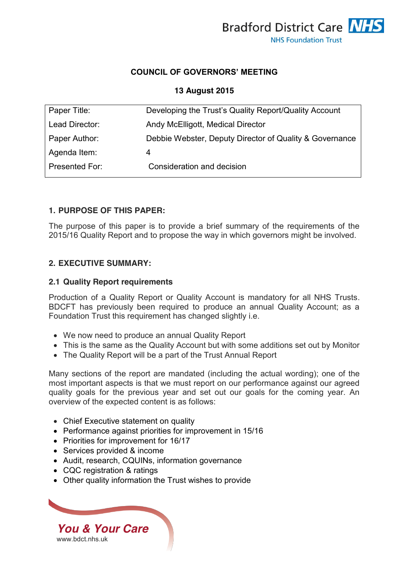

### **COUNCIL OF GOVERNORS' MEETING**

## **13 August 2015**

| Paper Title:   | Developing the Trust's Quality Report/Quality Account   |
|----------------|---------------------------------------------------------|
| Lead Director: | Andy McElligott, Medical Director                       |
| Paper Author:  | Debbie Webster, Deputy Director of Quality & Governance |
| Agenda Item:   | 4                                                       |
| Presented For: | Consideration and decision                              |
|                |                                                         |

### **1. PURPOSE OF THIS PAPER:**

The purpose of this paper is to provide a brief summary of the requirements of the 2015/16 Quality Report and to propose the way in which governors might be involved.

### **2. EXECUTIVE SUMMARY:**

#### **2.1 Quality Report requirements**

Production of a Quality Report or Quality Account is mandatory for all NHS Trusts. BDCFT has previously been required to produce an annual Quality Account; as a Foundation Trust this requirement has changed slightly i.e.

- We now need to produce an annual Quality Report
- This is the same as the Quality Account but with some additions set out by Monitor
- The Quality Report will be a part of the Trust Annual Report

Many sections of the report are mandated (including the actual wording); one of the most important aspects is that we must report on our performance against our agreed quality goals for the previous year and set out our goals for the coming year. An overview of the expected content is as follows:

- Chief Executive statement on quality
- Performance against priorities for improvement in 15/16
- Priorities for improvement for 16/17
- Services provided & income
- Audit, research, CQUINs, information governance
- CQC registration & ratings
- Other quality information the Trust wishes to provide

*You & Your Care* [www.bdct.nhs.uk](http://www.bdct.nhs.uk/)